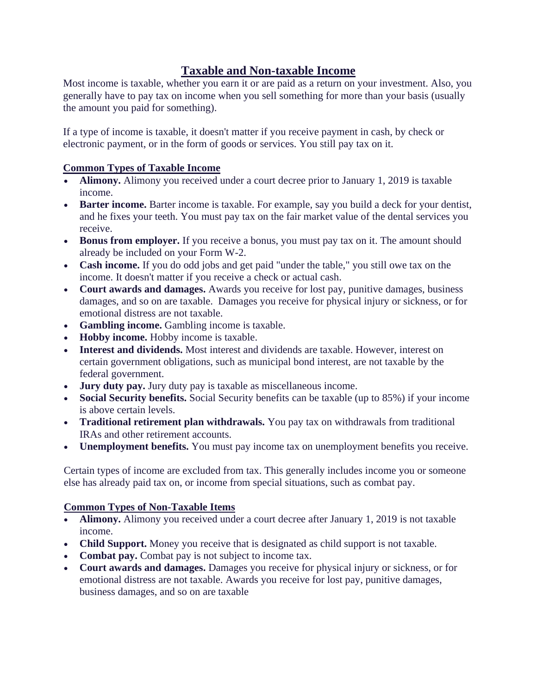## **Taxable and Non-taxable Income**

Most income is taxable, whether you earn it or are paid as a return on your investment. Also, you generally have to pay tax on income when you sell something for more than your basis (usually the amount you paid for something).

If a type of income is taxable, it doesn't matter if you receive payment in cash, by check or electronic payment, or in the form of goods or services. You still pay tax on it.

## **Common Types of Taxable Income**

- **Alimony.** Alimony you received under a court decree prior to January 1, 2019 is taxable income.
- **Barter income.** Barter income is taxable. For example, say you build a deck for your dentist, and he fixes your teeth. You must pay tax on the fair market value of the dental services you receive.
- **Bonus from employer.** If you receive a bonus, you must pay tax on it. The amount should already be included on your Form W-2.
- **Cash income.** If you do odd jobs and get paid "under the table," you still owe tax on the income. It doesn't matter if you receive a check or actual cash.
- **Court awards and damages.** Awards you receive for lost pay, punitive damages, business damages, and so on are taxable. Damages you receive for physical injury or sickness, or for emotional distress are not taxable.
- **Gambling income.** Gambling income is taxable.
- **Hobby income.** Hobby income is taxable.
- **Interest and dividends.** Most interest and dividends are taxable. However, interest on certain government obligations, such as municipal bond interest, are not taxable by the federal government.
- **Jury duty pay.** Jury duty pay is taxable as miscellaneous income.
- **Social Security benefits.** Social Security benefits can be taxable (up to 85%) if your income is above certain levels.
- **Traditional retirement plan withdrawals.** You pay tax on withdrawals from traditional IRAs and other retirement accounts.
- **Unemployment benefits.** You must pay income tax on unemployment benefits you receive.

Certain types of income are excluded from tax. This generally includes income you or someone else has already paid tax on, or income from special situations, such as combat pay.

## **Common Types of Non-Taxable Items**

- **Alimony.** Alimony you received under a court decree after January 1, 2019 is not taxable income.
- **Child Support.** Money you receive that is designated as child support is not taxable.
- **Combat pay.** Combat pay is not subject to income tax.
- **Court awards and damages.** Damages you receive for physical injury or sickness, or for emotional distress are not taxable. Awards you receive for lost pay, punitive damages, business damages, and so on are taxable